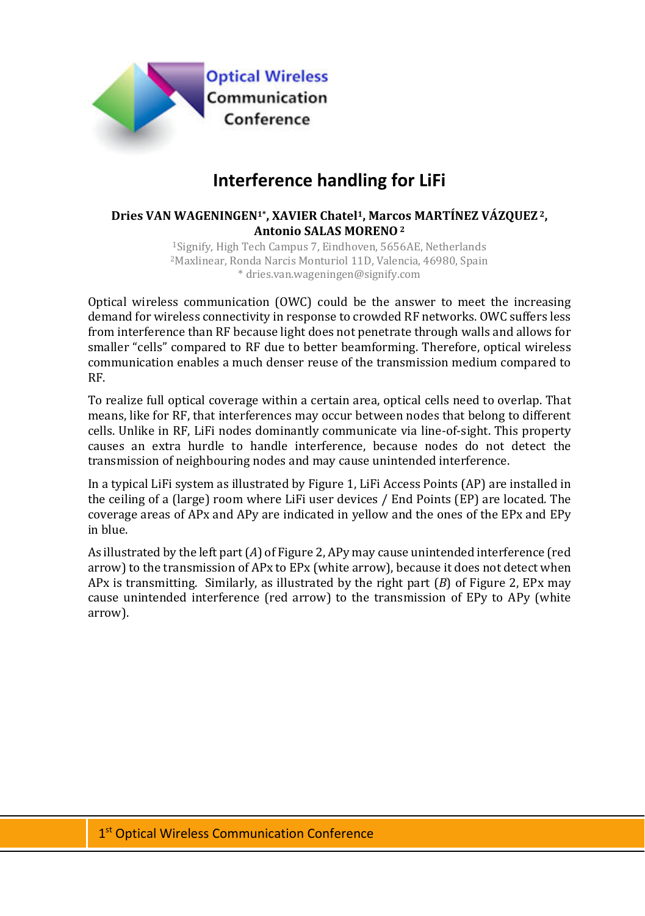

## **Interference handling for LiFi**

## **Dries VAN WAGENINGEN1\*, XAVIER Chatel1, Marcos MARTÍNEZ VÁZQUEZ 2, Antonio SALAS MORENO2**

1Signify, High Tech Campus 7, Eindhoven, 5656AE, Netherlands 2Maxlinear, Ronda Narcis Monturiol 11D, Valencia, 46980, Spain \* dries.van.wageningen@signify.com

Optical wireless communication (OWC) could be the answer to meet the increasing demand for wireless connectivity in response to crowded RF networks. OWC suffers less from interference than RF because light does not penetrate through walls and allows for smaller "cells" compared to RF due to better beamforming. Therefore, optical wireless communication enables a much denser reuse of the transmission medium compared to RF.

To realize full optical coverage within a certain area, optical cells need to overlap. That means, like for RF, that interferences may occur between nodes that belong to different cells. Unlike in RF, LiFi nodes dominantly communicate via line-of-sight. This property causes an extra hurdle to handle interference, because nodes do not detect the transmission of neighbouring nodes and may cause unintended interference.

In a typical LiFi system as illustrated by [Figure 1,](#page-1-0) LiFi Access Points (AP) are installed in the ceiling of a (large) room where LiFi user devices / End Points (EP) are located. The coverage areas of APx and APy are indicated in yellow and the ones of the EPx and EPy in blue.

As illustrated by the left part (*A*) o[f Figure 2,](#page-1-1) APy may cause unintended interference (red arrow) to the transmission of APx to EPx (white arrow), because it does not detect when APx is transmitting. Similarly, as illustrated by the right part (*B*) of [Figure 2,](#page-1-1) EPx may cause unintended interference (red arrow) to the transmission of EPy to APy (white arrow).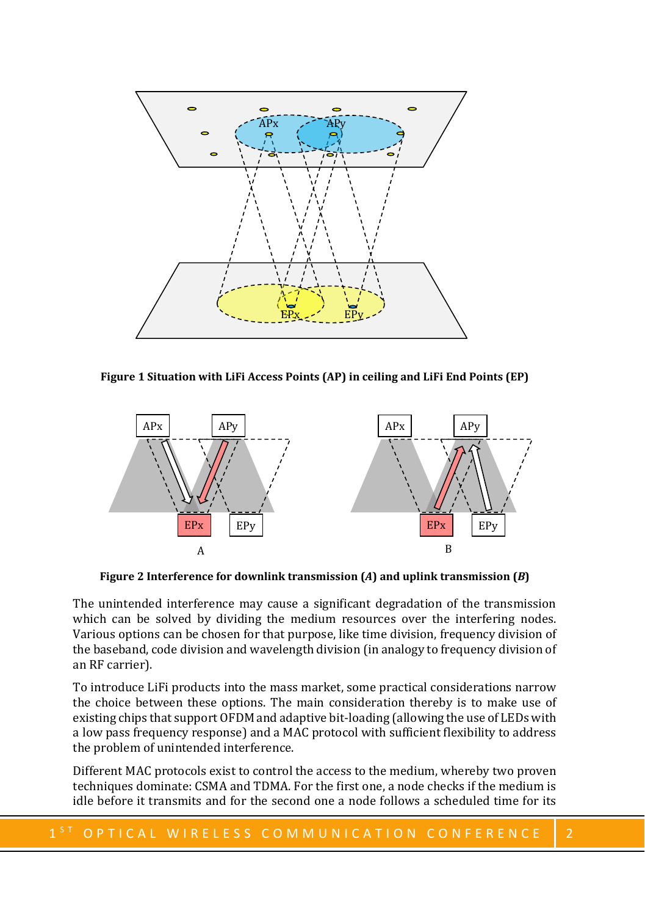

<span id="page-1-0"></span>**Figure 1 Situation with LiFi Access Points (AP) in ceiling and LiFi End Points (EP)** 



**Figure 2 Interference for downlink transmission (***A***) and uplink transmission (***B***)**

<span id="page-1-1"></span>The unintended interference may cause a significant degradation of the transmission which can be solved by dividing the medium resources over the interfering nodes. Various options can be chosen for that purpose, like time division, frequency division of the baseband, code division and wavelength division (in analogy to frequency division of an RF carrier).

To introduce LiFi products into the mass market, some practical considerations narrow the choice between these options. The main consideration thereby is to make use of existing chips that support OFDM and adaptive bit-loading (allowing the use of LEDs with a low pass frequency response) and a MAC protocol with sufficient flexibility to address the problem of unintended interference.

Different MAC protocols exist to control the access to the medium, whereby two proven techniques dominate: CSMA and TDMA. For the first one, a node checks if the medium is idle before it transmits and for the second one a node follows a scheduled time for its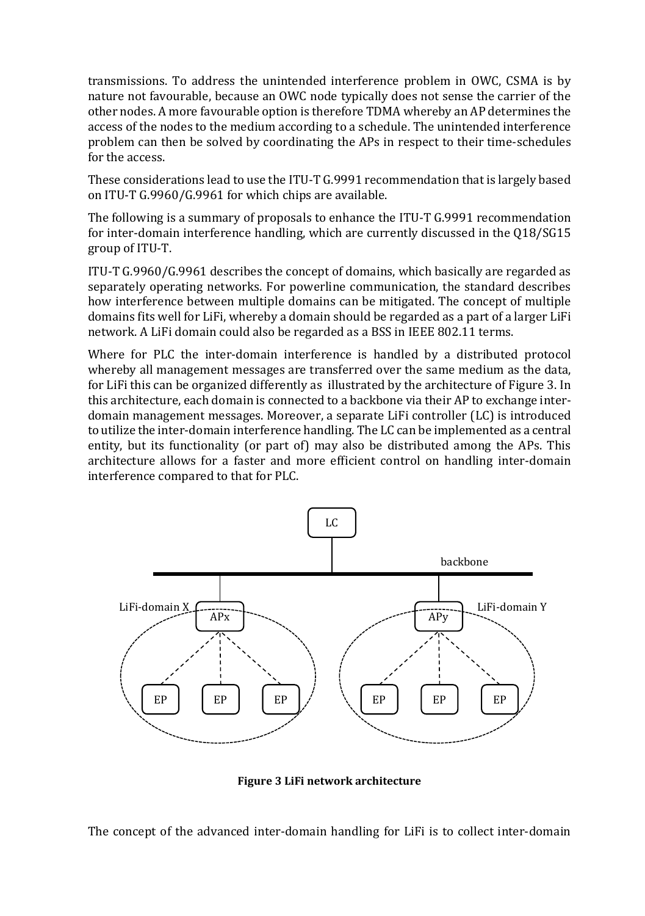transmissions. To address the unintended interference problem in OWC, CSMA is by nature not favourable, because an OWC node typically does not sense the carrier of the other nodes. A more favourable option is therefore TDMA whereby an AP determines the access of the nodes to the medium according to a schedule. The unintended interference problem can then be solved by coordinating the APs in respect to their time-schedules for the access.

These considerations lead to use the ITU-T G.9991 recommendation that is largely based on ITU-T G.9960/G.9961 for which chips are available.

The following is a summary of proposals to enhance the ITU-T G.9991 recommendation for inter-domain interference handling, which are currently discussed in the Q18/SG15 group of ITU-T.

ITU-T G.9960/G.9961 describes the concept of domains, which basically are regarded as separately operating networks. For powerline communication, the standard describes how interference between multiple domains can be mitigated. The concept of multiple domains fits well for LiFi, whereby a domain should be regarded as a part of a larger LiFi network. A LiFi domain could also be regarded as a BSS in IEEE 802.11 terms.

Where for PLC the inter-domain interference is handled by a distributed protocol whereby all management messages are transferred over the same medium as the data, for LiFi this can be organized differently as illustrated by the architecture of [Figure 3.](#page-2-0) In this architecture, each domain is connected to a backbone via their AP to exchange interdomain management messages. Moreover, a separate LiFi controller (LC) is introduced to utilize the inter-domain interference handling. The LC can be implemented as a central entity, but its functionality (or part of) may also be distributed among the APs. This architecture allows for a faster and more efficient control on handling inter-domain interference compared to that for PLC.



**Figure 3 LiFi network architecture**

<span id="page-2-0"></span>The concept of the advanced inter-domain handling for LiFi is to collect inter-domain